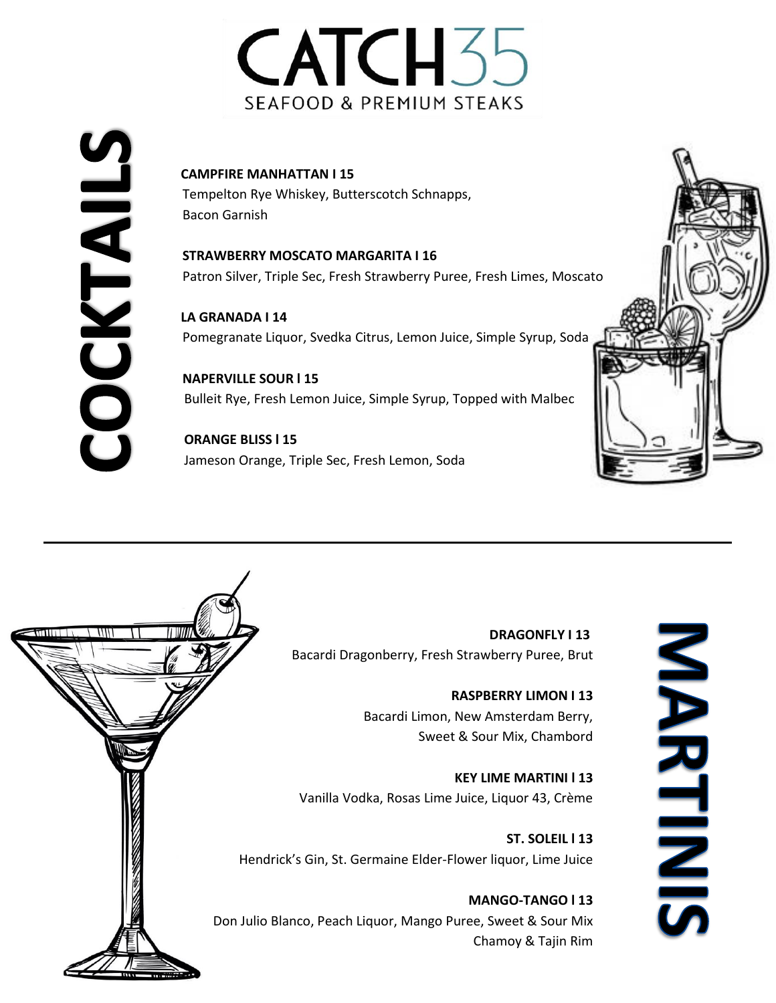# CATCH<sub>5</sub>5 SEAFOOD & PREMIUM STEAKS

CAMPFIRE MANHATTAN I 15<br>
Tempelton Rye Whiskey, Butt<br>
Bacon Garnish<br>
STRAWBERRY MOSCATO MA<br>
Patron Silver, Triple Sec, Fresh<br>
LA GRANADA I 14<br>
Pomegranate Liquor, Svedka<br>
NAPERVILLE SOUR I 15<br>
Bulleit Rye, Fresh Lemon Juic

Tempelton Rye Whiskey, Butterscotch Schnapps, Bacon Garnish

**STRAWBERRY MOSCATO MARGARITA I 16** Patron Silver, Triple Sec, Fresh Strawberry Puree, Fresh Limes, Moscato

 **LA GRANADA I 14** Pomegranate Liquor, Svedka Citrus, Lemon Juice, Simple Syrup, Soda

**NAPERVILLE SOUR l 15** Bulleit Rye, Fresh Lemon Juice, Simple Syrup, Topped with Malbec

 **ORANGE BLISS l 15** Jameson Orange, Triple Sec, Fresh Lemon, Soda





 **DRAGONFLY I 13** Bacardi Dragonberry, Fresh Strawberry Puree, Brut

> **RASPBERRY LIMON I 13** Bacardi Limon, New Amsterdam Berry, Sweet & Sour Mix, Chambord

**KEY LIME MARTINI l 13** Vanilla Vodka, Rosas Lime Juice, Liquor 43, Crème

**ST. SOLEIL l 13** Hendrick's Gin, St. Germaine Elder-Flower liquor, Lime Juice

**MANGO-TANGO l 13** Don Julio Blanco, Peach Liquor, Mango Puree, Sweet & Sour Mix Chamoy & Tajin Rim

NARTINIS